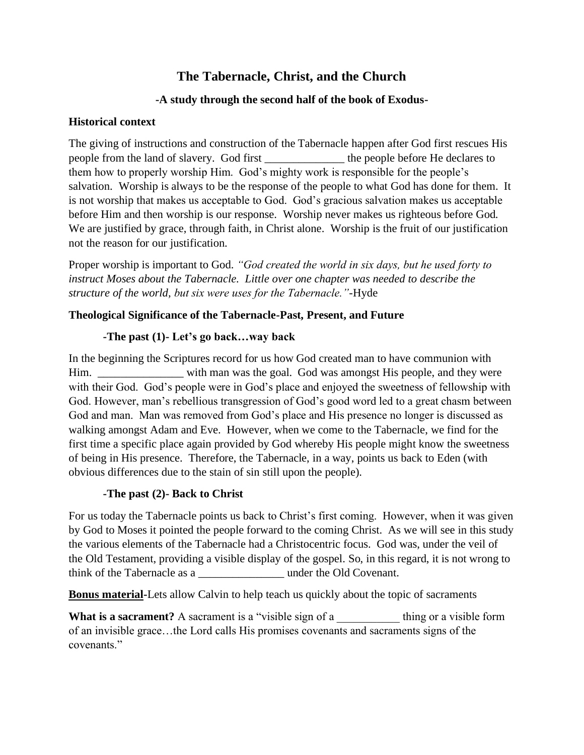# **The Tabernacle, Christ, and the Church**

## **-A study through the second half of the book of Exodus-**

## **Historical context**

The giving of instructions and construction of the Tabernacle happen after God first rescues His people from the land of slavery. God first the people before He declares to them how to properly worship Him. God's mighty work is responsible for the people's salvation. Worship is always to be the response of the people to what God has done for them. It is not worship that makes us acceptable to God. God's gracious salvation makes us acceptable before Him and then worship is our response. Worship never makes us righteous before God. We are justified by grace, through faith, in Christ alone. Worship is the fruit of our justification not the reason for our justification.

Proper worship is important to God. *"God created the world in six days, but he used forty to instruct Moses about the Tabernacle. Little over one chapter was needed to describe the structure of the world, but six were uses for the Tabernacle."-*Hyde

## **Theological Significance of the Tabernacle-Past, Present, and Future**

## **-The past (1)- Let's go back…way back**

In the beginning the Scriptures record for us how God created man to have communion with Him. \_\_\_\_\_\_\_\_\_\_\_\_\_\_\_ with man was the goal. God was amongst His people, and they were with their God. God's people were in God's place and enjoyed the sweetness of fellowship with God. However, man's rebellious transgression of God's good word led to a great chasm between God and man. Man was removed from God's place and His presence no longer is discussed as walking amongst Adam and Eve. However, when we come to the Tabernacle, we find for the first time a specific place again provided by God whereby His people might know the sweetness of being in His presence. Therefore, the Tabernacle, in a way, points us back to Eden (with obvious differences due to the stain of sin still upon the people).

#### **-The past (2)- Back to Christ**

For us today the Tabernacle points us back to Christ's first coming. However, when it was given by God to Moses it pointed the people forward to the coming Christ. As we will see in this study the various elements of the Tabernacle had a Christocentric focus. God was, under the veil of the Old Testament, providing a visible display of the gospel. So, in this regard, it is not wrong to think of the Tabernacle as a \_\_\_\_\_\_\_\_\_\_\_\_\_\_\_ under the Old Covenant.

**Bonus material-**Lets allow Calvin to help teach us quickly about the topic of sacraments

**What is a sacrament?** A sacrament is a "visible sign of a unit below thing or a visible form of an invisible grace…the Lord calls His promises covenants and sacraments signs of the covenants."